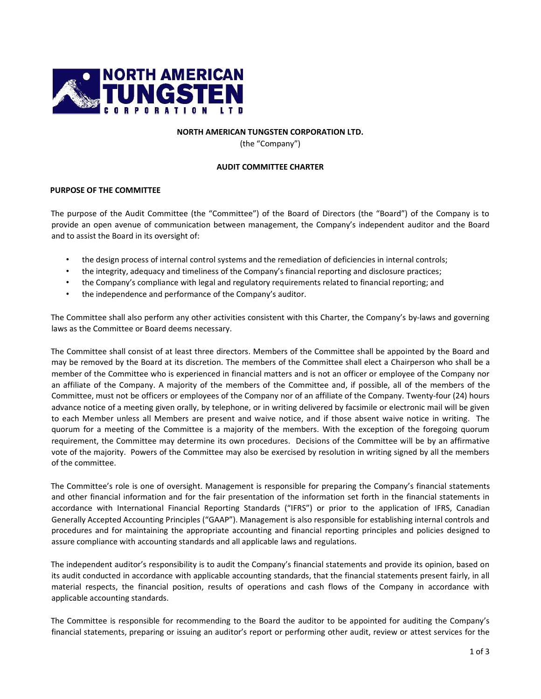

## **NORTH AMERICAN TUNGSTEN CORPORATION LTD.**

(the "Company")

## **AUDIT COMMITTEE CHARTER**

## **PURPOSE OF THE COMMITTEE**

The purpose of the Audit Committee (the "Committee") of the Board of Directors (the "Board") of the Company is to provide an open avenue of communication between management, the Company's independent auditor and the Board and to assist the Board in its oversight of:

- the design process of internal control systems and the remediation of deficiencies in internal controls;
- the integrity, adequacy and timeliness of the Company's financial reporting and disclosure practices;
- the Company's compliance with legal and regulatory requirements related to financial reporting; and
- the independence and performance of the Company's auditor.

The Committee shall also perform any other activities consistent with this Charter, the Company's by-laws and governing laws as the Committee or Board deems necessary.

The Committee shall consist of at least three directors. Members of the Committee shall be appointed by the Board and may be removed by the Board at its discretion. The members of the Committee shall elect a Chairperson who shall be a member of the Committee who is experienced in financial matters and is not an officer or employee of the Company nor an affiliate of the Company. A majority of the members of the Committee and, if possible, all of the members of the Committee, must not be officers or employees of the Company nor of an affiliate of the Company. Twenty‐four (24) hours advance notice of a meeting given orally, by telephone, or in writing delivered by facsimile or electronic mail will be given to each Member unless all Members are present and waive notice, and if those absent waive notice in writing. The quorum for a meeting of the Committee is a majority of the members. With the exception of the foregoing quorum requirement, the Committee may determine its own procedures. Decisions of the Committee will be by an affirmative vote of the majority. Powers of the Committee may also be exercised by resolution in writing signed by all the members of the committee.

The Committee's role is one of oversight. Management is responsible for preparing the Company's financial statements and other financial information and for the fair presentation of the information set forth in the financial statements in accordance with International Financial Reporting Standards ("IFRS") or prior to the application of IFRS, Canadian Generally Accepted Accounting Principles ("GAAP"). Management is also responsible for establishing internal controls and procedures and for maintaining the appropriate accounting and financial reporting principles and policies designed to assure compliance with accounting standards and all applicable laws and regulations.

The independent auditor's responsibility is to audit the Company's financial statements and provide its opinion, based on its audit conducted in accordance with applicable accounting standards, that the financial statements present fairly, in all material respects, the financial position, results of operations and cash flows of the Company in accordance with applicable accounting standards.

The Committee is responsible for recommending to the Board the auditor to be appointed for auditing the Company's financial statements, preparing or issuing an auditor's report or performing other audit, review or attest services for the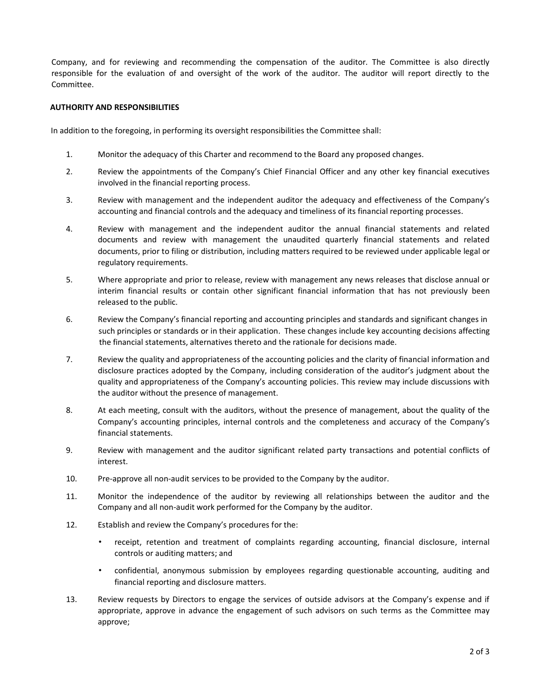Company, and for reviewing and recommending the compensation of the auditor. The Committee is also directly responsible for the evaluation of and oversight of the work of the auditor. The auditor will report directly to the Committee.

## **AUTHORITY AND RESPONSIBILITIES**

In addition to the foregoing, in performing its oversight responsibilities the Committee shall:

- 1. Monitor the adequacy of this Charter and recommend to the Board any proposed changes.
- 2. Review the appointments of the Company's Chief Financial Officer and any other key financial executives involved in the financial reporting process.
- 3. Review with management and the independent auditor the adequacy and effectiveness of the Company's accounting and financial controls and the adequacy and timeliness of its financial reporting processes.
- 4. Review with management and the independent auditor the annual financial statements and related documents and review with management the unaudited quarterly financial statements and related documents, prior to filing or distribution, including matters required to be reviewed under applicable legal or regulatory requirements.
- 5. Where appropriate and prior to release, review with management any news releases that disclose annual or interim financial results or contain other significant financial information that has not previously been released to the public.
- 6. Review the Company's financial reporting and accounting principles and standards and significant changes in such principles or standards or in their application. These changes include key accounting decisions affecting the financial statements, alternatives thereto and the rationale for decisions made.
- 7. Review the quality and appropriateness of the accounting policies and the clarity of financial information and disclosure practices adopted by the Company, including consideration of the auditor's judgment about the quality and appropriateness of the Company's accounting policies. This review may include discussions with the auditor without the presence of management.
- 8. At each meeting, consult with the auditors, without the presence of management, about the quality of the Company's accounting principles, internal controls and the completeness and accuracy of the Company's financial statements.
- 9. Review with management and the auditor significant related party transactions and potential conflicts of interest.
- 10. Pre-approve all non-audit services to be provided to the Company by the auditor.
- 11. Monitor the independence of the auditor by reviewing all relationships between the auditor and the Company and all non‐audit work performed for the Company by the auditor.
- 12. Establish and review the Company's procedures for the:
	- receipt, retention and treatment of complaints regarding accounting, financial disclosure, internal controls or auditing matters; and
	- confidential, anonymous submission by employees regarding questionable accounting, auditing and financial reporting and disclosure matters.
- 13. Review requests by Directors to engage the services of outside advisors at the Company's expense and if appropriate, approve in advance the engagement of such advisors on such terms as the Committee may approve;